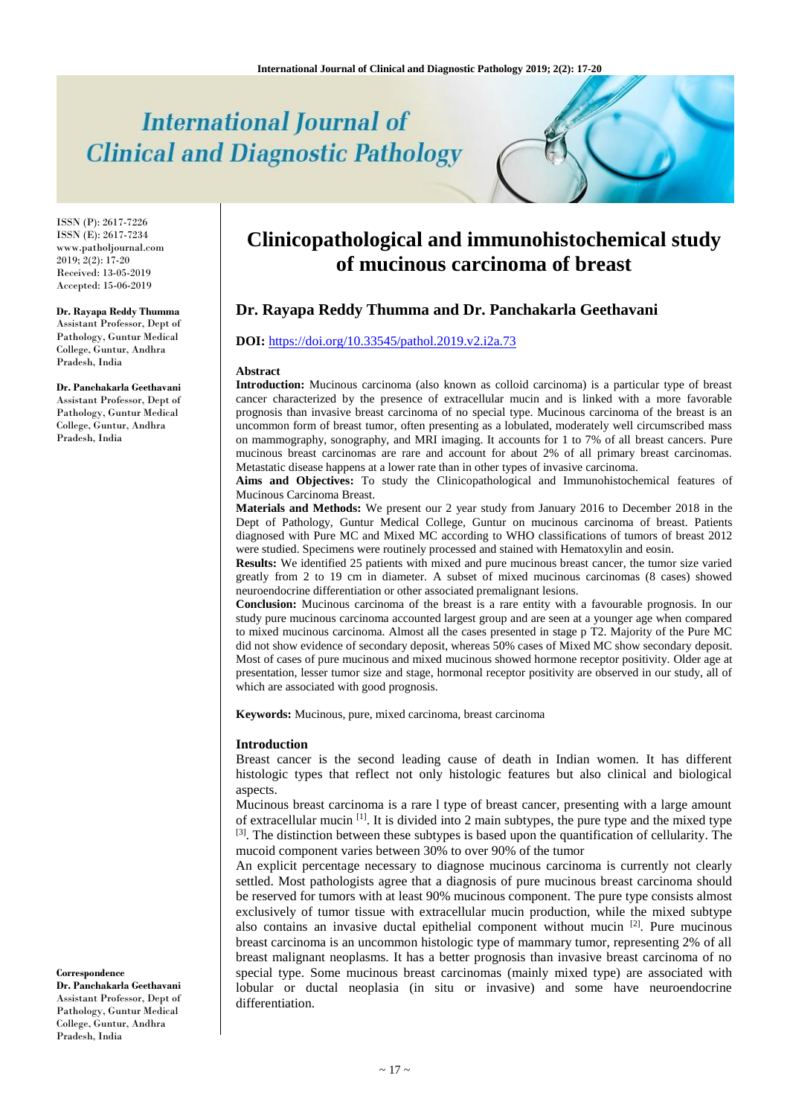# **International Journal of Clinical and Diagnostic Pathology**

ISSN (P): 2617-7226 ISSN (E): 2617-7234 www.patholjournal.com  $2019; 2(2): 17-20$ Received: 13-05-2019 Accepted: 15-06-2019

#### **Dr. Rayapa Reddy Thumma**

Assistant Professor, Dept of Pathology, Guntur Medical College, Guntur, Andhra Pradesh, India

**Dr. Panchakarla Geethavani** Assistant Professor, Dept of Pathology, Guntur Medical College, Guntur, Andhra Pradesh, India

#### **Correspondence**

**Dr. Panchakarla Geethavani** Assistant Professor, Dept of Pathology, Guntur Medical College, Guntur, Andhra Pradesh, India

## **Clinicopathological and immunohistochemical study of mucinous carcinoma of breast**

## **Dr. Rayapa Reddy Thumma and Dr. Panchakarla Geethavani**

## **DOI:** [https://doi.org/10.33545/pathol.2019.v2.i2a.73](https://doi.org/10.33545/pathol.2019.v2.i2a.72)

#### **Abstract**

**Introduction:** Mucinous carcinoma (also known as colloid carcinoma) is a particular type of breast cancer characterized by the presence of extracellular mucin and is linked with a more favorable prognosis than invasive breast carcinoma of no special type. Mucinous carcinoma of the breast is an uncommon form of breast tumor, often presenting as a lobulated, moderately well circumscribed mass on mammography, sonography, and MRI imaging. It accounts for 1 to 7% of all breast cancers. Pure mucinous breast carcinomas are rare and account for about 2% of all primary breast carcinomas. Metastatic disease happens at a lower rate than in other types of invasive carcinoma.

**Aims and Objectives:** To study the Clinicopathological and Immunohistochemical features of Mucinous Carcinoma Breast.

**Materials and Methods:** We present our 2 year study from January 2016 to December 2018 in the Dept of Pathology, Guntur Medical College, Guntur on mucinous carcinoma of breast. Patients diagnosed with Pure MC and Mixed MC according to WHO classifications of tumors of breast 2012 were studied. Specimens were routinely processed and stained with Hematoxylin and eosin.

**Results:** We identified 25 patients with mixed and pure mucinous breast cancer, the tumor size varied greatly from 2 to 19 cm in diameter. A subset of mixed mucinous carcinomas (8 cases) showed neuroendocrine differentiation or other associated premalignant lesions.

**Conclusion:** Mucinous carcinoma of the breast is a rare entity with a favourable prognosis. In our study pure mucinous carcinoma accounted largest group and are seen at a younger age when compared to mixed mucinous carcinoma. Almost all the cases presented in stage p T2. Majority of the Pure MC did not show evidence of secondary deposit, whereas 50% cases of Mixed MC show secondary deposit. Most of cases of pure mucinous and mixed mucinous showed hormone receptor positivity. Older age at presentation, lesser tumor size and stage, hormonal receptor positivity are observed in our study, all of which are associated with good prognosis.

**Keywords:** Mucinous, pure, mixed carcinoma, breast carcinoma

#### **Introduction**

Breast cancer is the second leading cause of death in Indian women. It has different histologic types that reflect not only histologic features but also clinical and biological aspects.

Mucinous breast carcinoma is a rare l type of breast cancer, presenting with a large amount of extracellular mucin  $^{[1]}$ . It is divided into 2 main subtypes, the pure type and the mixed type <sup>[3]</sup>. The distinction between these subtypes is based upon the quantification of cellularity. The mucoid component varies between 30% to over 90% of the tumor

An explicit percentage necessary to diagnose mucinous carcinoma is currently not clearly settled. Most pathologists agree that a diagnosis of pure mucinous breast carcinoma should be reserved for tumors with at least 90% mucinous component. The pure type consists almost exclusively of tumor tissue with extracellular mucin production, while the mixed subtype also contains an invasive ductal epithelial component without mucin  $[2]$ . Pure mucinous breast carcinoma is an uncommon histologic type of mammary tumor, representing 2% of all breast malignant neoplasms. It has a better prognosis than invasive breast carcinoma of no special type. Some mucinous breast carcinomas (mainly mixed type) are associated with lobular or ductal neoplasia (in situ or invasive) and some have neuroendocrine differentiation.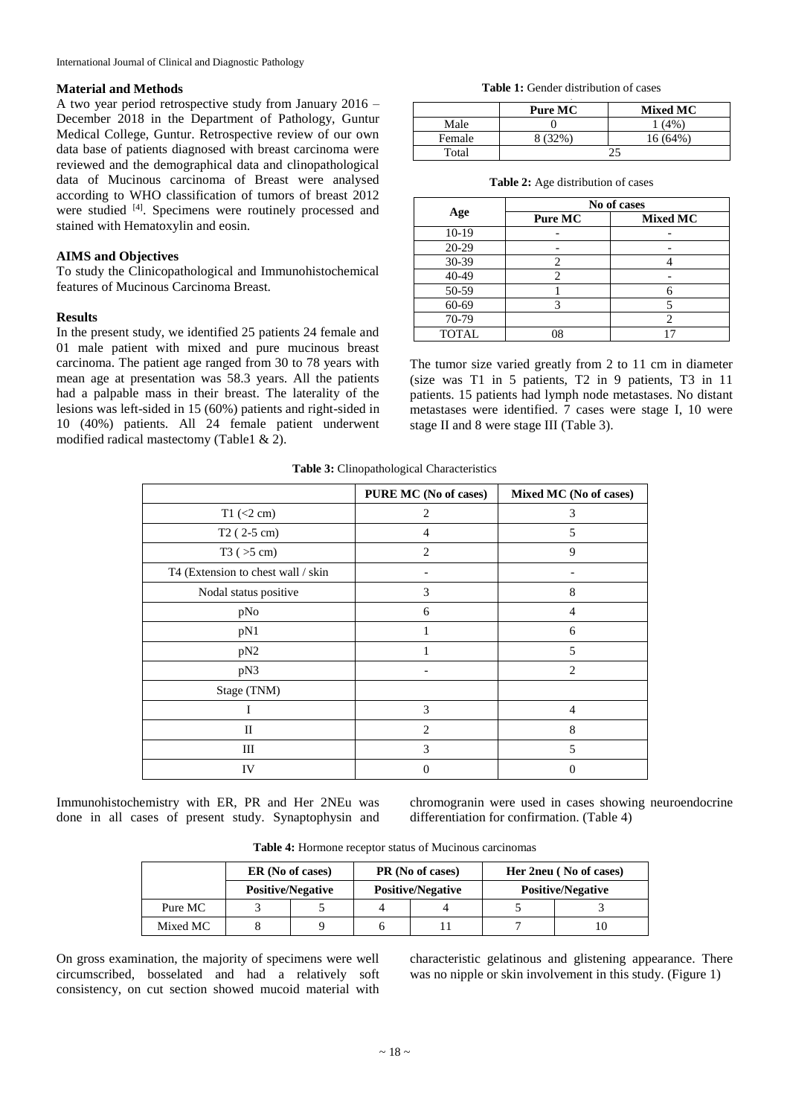#### **Material and Methods**

A two year period retrospective study from January 2016 – December 2018 in the Department of Pathology, Guntur Medical College, Guntur. Retrospective review of our own data base of patients diagnosed with breast carcinoma were reviewed and the demographical data and clinopathological data of Mucinous carcinoma of Breast were analysed according to WHO classification of tumors of breast 2012 were studied <sup>[4]</sup>. Specimens were routinely processed and stained with Hematoxylin and eosin.

## **AIMS and Objectives**

To study the Clinicopathological and Immunohistochemical features of Mucinous Carcinoma Breast.

### **Results**

In the present study, we identified 25 patients 24 female and 01 male patient with mixed and pure mucinous breast carcinoma. The patient age ranged from 30 to 78 years with mean age at presentation was 58.3 years. All the patients had a palpable mass in their breast. The laterality of the lesions was left-sided in 15 (60%) patients and right-sided in 10 (40%) patients. All 24 female patient underwent modified radical mastectomy (Table1 & 2).

**Table 1:** Gender distribution of cases .

|        | <b>Mixed MC</b><br>Pure MC |          |
|--------|----------------------------|----------|
| Male   |                            | (4% )    |
| Female | (32%                       | 16 (64%) |
| Total  |                            |          |

|  |  | <b>Table 2:</b> Age distribution of cases |  |
|--|--|-------------------------------------------|--|
|--|--|-------------------------------------------|--|

| Age          | No of cases |                 |  |
|--------------|-------------|-----------------|--|
|              | Pure MC     | <b>Mixed MC</b> |  |
| 10-19        |             |                 |  |
| 20-29        |             |                 |  |
| 30-39        |             |                 |  |
| 40-49        |             |                 |  |
| 50-59        |             |                 |  |
| 60-69        |             |                 |  |
| 70-79        |             |                 |  |
| <b>TOTAL</b> | 08          |                 |  |

The tumor size varied greatly from 2 to 11 cm in diameter (size was T1 in 5 patients, T2 in 9 patients, T3 in 11 patients. 15 patients had lymph node metastases. No distant metastases were identified. 7 cases were stage I, 10 were stage II and 8 were stage III (Table 3).

**Table 3:** Clinopathological Characteristics

|                                    | PURE MC (No of cases) | Mixed MC (No of cases) |
|------------------------------------|-----------------------|------------------------|
| $T1$ (<2 cm)                       | 2                     | 3                      |
| $T2(2-5 cm)$                       | 4                     | 5                      |
| T3 (>5 cm)                         | $\overline{2}$        | 9                      |
| T4 (Extension to chest wall / skin |                       |                        |
| Nodal status positive              | 3                     | 8                      |
| pNo                                | 6                     | 4                      |
| pN1                                | 1                     | 6                      |
| pN <sub>2</sub>                    |                       | 5                      |
| pN3                                |                       | $\overline{c}$         |
| Stage (TNM)                        |                       |                        |
| I                                  | 3                     | 4                      |
| $_{\rm II}$                        | $\overline{c}$        | 8                      |
| Ш                                  | 3                     | 5                      |
| IV                                 | $\Omega$              | $\Omega$               |

Immunohistochemistry with ER, PR and Her 2NEu was done in all cases of present study. Synaptophysin and chromogranin were used in cases showing neuroendocrine differentiation for confirmation. (Table 4)

**Table 4:** Hormone receptor status of Mucinous carcinomas

|          | ER (No of cases)<br><b>Positive/Negative</b> |  | PR (No of cases)<br><b>Positive/Negative</b> |  | Her 2neu (No of cases)   |  |
|----------|----------------------------------------------|--|----------------------------------------------|--|--------------------------|--|
|          |                                              |  |                                              |  | <b>Positive/Negative</b> |  |
| Pure MC  |                                              |  |                                              |  |                          |  |
| Mixed MC |                                              |  |                                              |  |                          |  |

On gross examination, the majority of specimens were well circumscribed, bosselated and had a relatively soft consistency, on cut section showed mucoid material with

characteristic gelatinous and glistening appearance. There was no nipple or skin involvement in this study. (Figure 1)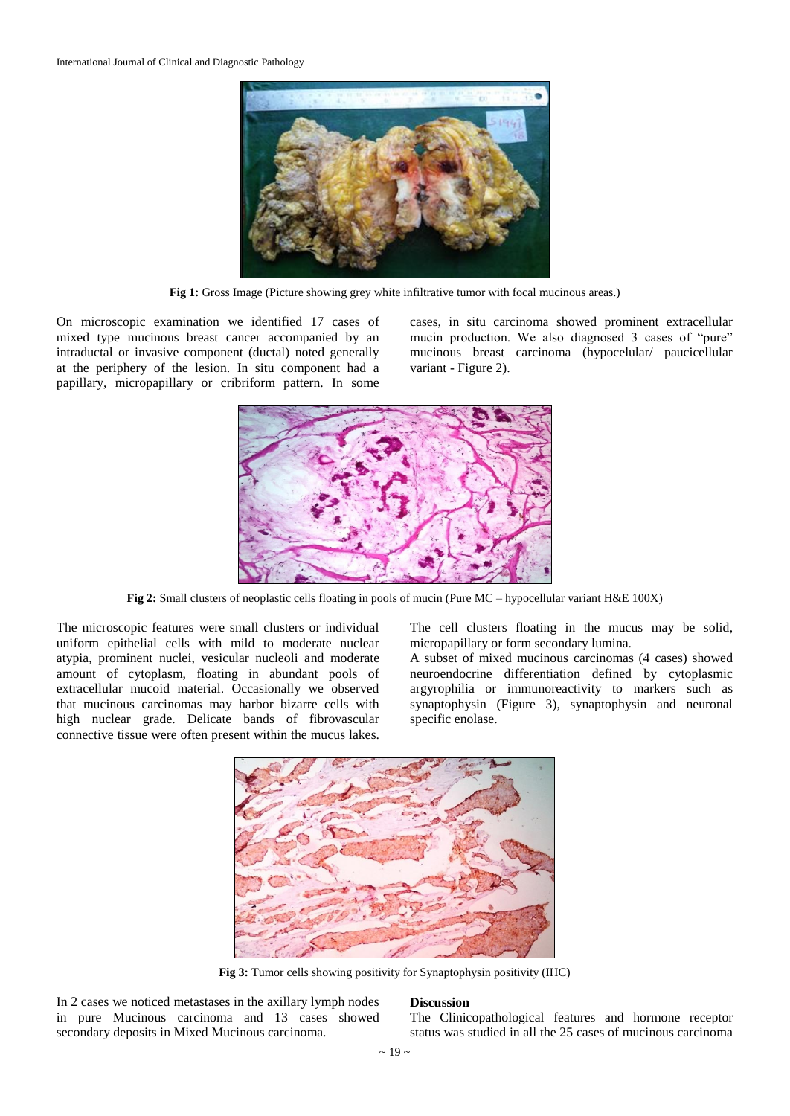

Fig 1: Gross Image (Picture showing grey white infiltrative tumor with focal mucinous areas.)

On microscopic examination we identified 17 cases of mixed type mucinous breast cancer accompanied by an intraductal or invasive component (ductal) noted generally at the periphery of the lesion. In situ component had a papillary, micropapillary or cribriform pattern. In some

cases, in situ carcinoma showed prominent extracellular mucin production. We also diagnosed 3 cases of "pure" mucinous breast carcinoma (hypocelular/ paucicellular variant - Figure 2).



**Fig 2:** Small clusters of neoplastic cells floating in pools of mucin (Pure MC – hypocellular variant H&E 100X)

The microscopic features were small clusters or individual uniform epithelial cells with mild to moderate nuclear atypia, prominent nuclei, vesicular nucleoli and moderate amount of cytoplasm, floating in abundant pools of extracellular mucoid material. Occasionally we observed that mucinous carcinomas may harbor bizarre cells with high nuclear grade. Delicate bands of fibrovascular connective tissue were often present within the mucus lakes.

The cell clusters floating in the mucus may be solid, micropapillary or form secondary lumina.

A subset of mixed mucinous carcinomas (4 cases) showed neuroendocrine differentiation defined by cytoplasmic argyrophilia or immunoreactivity to markers such as synaptophysin (Figure 3), synaptophysin and neuronal specific enolase.



**Fig 3:** Tumor cells showing positivity for Synaptophysin positivity (IHC)

In 2 cases we noticed metastases in the axillary lymph nodes in pure Mucinous carcinoma and 13 cases showed secondary deposits in Mixed Mucinous carcinoma.

#### **Discussion**

The Clinicopathological features and hormone receptor status was studied in all the 25 cases of mucinous carcinoma